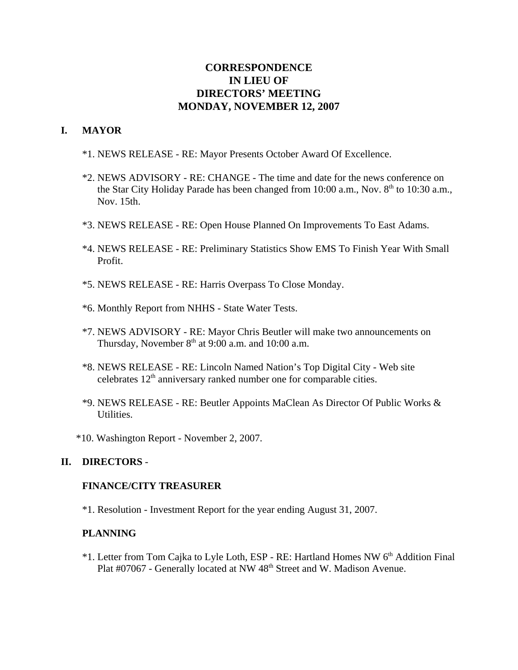# **CORRESPONDENCE IN LIEU OF DIRECTORS' MEETING MONDAY, NOVEMBER 12, 2007**

## **I. MAYOR**

- \*1. NEWS RELEASE RE: Mayor Presents October Award Of Excellence.
- \*2. NEWS ADVISORY RE: CHANGE The time and date for the news conference on the Star City Holiday Parade has been changed from 10:00 a.m., Nov.  $8<sup>th</sup>$  to 10:30 a.m., Nov. 15th.
- \*3. NEWS RELEASE RE: Open House Planned On Improvements To East Adams.
- \*4. NEWS RELEASE RE: Preliminary Statistics Show EMS To Finish Year With Small Profit.
- \*5. NEWS RELEASE RE: Harris Overpass To Close Monday.
- \*6. Monthly Report from NHHS State Water Tests.
- \*7. NEWS ADVISORY RE: Mayor Chris Beutler will make two announcements on Thursday, November  $8<sup>th</sup>$  at 9:00 a.m. and 10:00 a.m.
- \*8. NEWS RELEASE RE: Lincoln Named Nation's Top Digital City Web site celebrates  $12<sup>th</sup>$  anniversary ranked number one for comparable cities.
- \*9. NEWS RELEASE RE: Beutler Appoints MaClean As Director Of Public Works & Utilities.
- \*10. Washington Report November 2, 2007.

### **II. DIRECTORS** -

#### **FINANCE/CITY TREASURER**

\*1. Resolution - Investment Report for the year ending August 31, 2007.

### **PLANNING**

\*1. Letter from Tom Cajka to Lyle Loth, ESP - RE: Hartland Homes NW 6<sup>th</sup> Addition Final Plat #07067 - Generally located at NW 48<sup>th</sup> Street and W. Madison Avenue.